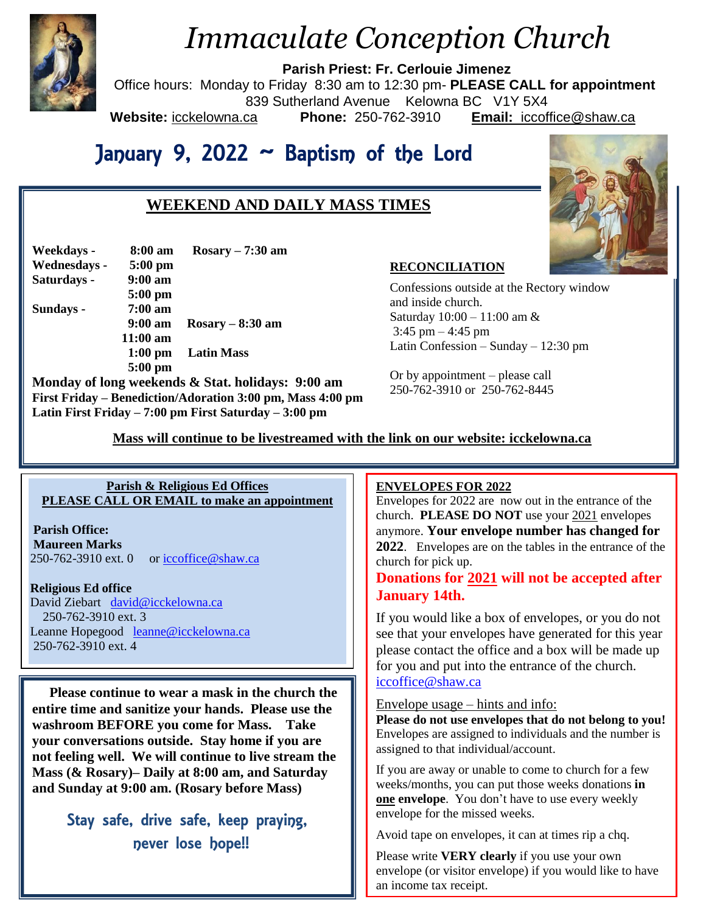

# *Immaculate Conception Church*

**Parish Priest: Fr. Cerlouie Jimenez**

Office hours: Monday to Friday 8:30 am to 12:30 pm- **PLEASE CALL for appointment**

839 Sutherland Avenue Kelowna BC V1Y 5X4

**Weekdays - 8:00 am Rosary – 7:30 am**

 **5:00 pm** 

 **11:00 am** 

 **5:00 pm** 

**Website:** icckelowna.ca **Phone:** 250-762-3910 **Email:** iccoffice@shaw.ca

# January 9, 2022 ~ Baptism of the Lord

# **WEEKEND AND DAILY MASS TIMES**



#### **RECONCILIATION**

Confessions outside at the Rectory window and inside church. Saturday 10:00 – 11:00 am & 3:45 pm – 4:45 pm Latin Confession – Sunday – 12:30 pm

Or by appointment – please call 250-762-3910 or 250-762-8445

 **Mass will continue to be livestreamed with the link on our website: icckelowna.ca**

## **Parish & Religious Ed Offices PLEASE CALL OR EMAIL to make an appointment**

 **9:00 am Rosary – 8:30 am**

 **1:00 pm Latin Mass**

**Monday of long weekends & Stat. holidays: 9:00 am First Friday – Benediction/Adoration 3:00 pm, Mass 4:00 pm**

**Latin First Friday – 7:00 pm First Saturday – 3:00 pm** 

**Parish Office: Maureen Marks** 

**Wednesdays - 5:00 pm Saturdays - 9:00 am** 

**Sundays - 7:00 am** 

250-762-3910 ext. 0 or [iccoffice@shaw.ca](mailto:iccoffice@shaw.ca)

**Religious Ed office**

David Ziebart [david@icckelowna.ca](mailto:david@icckelowna.ca)  250-762-3910 ext. 3 Leanne Hopegood <u>[leanne@icckelowna.ca](mailto:leanne@icckelowna.ca)</u> 250-762-3910 ext. 4

 **Please continue to wear a mask in the church the entire time and sanitize your hands. Please use the washroom BEFORE you come for Mass. Take your conversations outside. Stay home if you are not feeling well. We will continue to live stream the Mass (& Rosary)– Daily at 8:00 am, and Saturday and Sunday at 9:00 am. (Rosary before Mass)**

> Stay safe, drive safe, keep praying, never lose hope!!

#### ֺ **ENVELOPES FOR 2022**

Envelopes for 2022 are now out in the entrance of the church. **PLEASE DO NOT** use your 2021 envelopes anymore. **Your envelope number has changed for 2022**. Envelopes are on the tables in the entrance of the church for pick up.

## **Donations for 2021 will not be accepted after January 14th.**

If you would like a box of envelopes, or you do not see that your envelopes have generated for this year please contact the office and a box will be made up for you and put into the entrance of the church. [iccoffice@shaw.ca](mailto:iccoffice@shaw.ca)

#### Envelope usage – hints and info:

**Please do not use envelopes that do not belong to you!** Envelopes are assigned to individuals and the number is assigned to that individual/account.

If you are away or unable to come to church for a few weeks/months, you can put those weeks donations **in one envelope**. You don't have to use every weekly envelope for the missed weeks.

Avoid tape on envelopes, it can at times rip a chq.

Please write **VERY clearly** if you use your own envelope (or visitor envelope) if you would like to have an income tax receipt.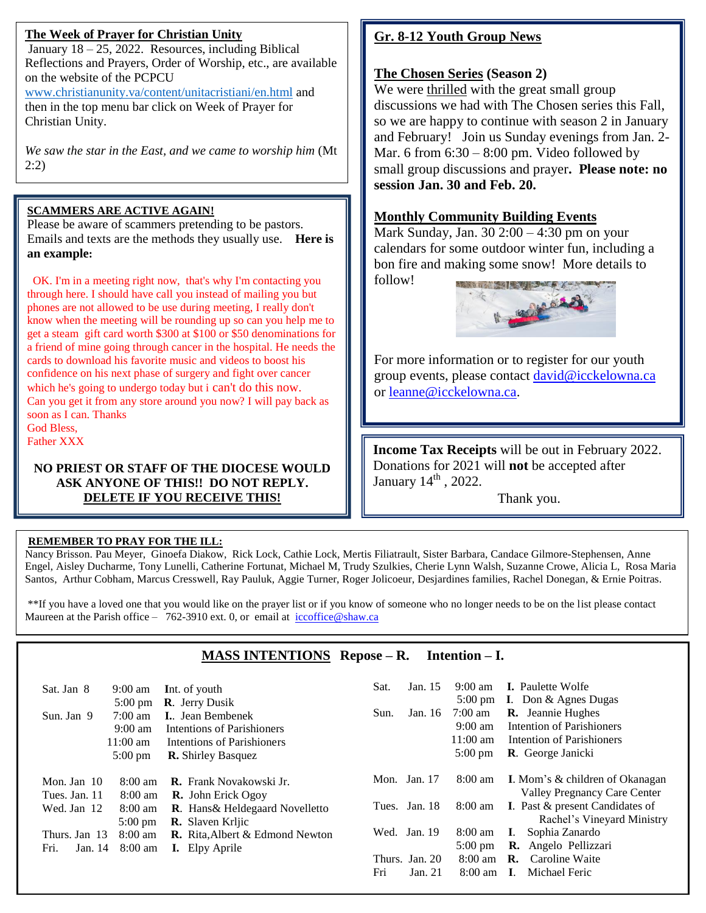## **The Week of Prayer for Christian Unity**

January  $18 - 25$ , 2022. Resources, including Biblical Reflections and Prayers, Order of Worship, etc., are available on the website of the PCPCU

[www.christianunity.va/content/unitacristiani/en.html](http://www.christianunity.va/content/unitacristiani/en.html) and then in the top menu bar click on Week of Prayer for Christian Unity.

*We saw the star in the East, and we came to worship him* (Mt 2:2)

## **SCAMMERS ARE ACTIVE AGAIN!**

Please be aware of scammers pretending to be pastors. Emails and texts are the methods they usually use. **Here is an example:**

 OK. I'm in a meeting right now, that's why I'm contacting you through here. I should have call you instead of mailing you but phones are not allowed to be use during meeting, I really don't know when the meeting will be rounding up so can you help me to get a steam gift card worth \$300 at \$100 or \$50 denominations for a friend of mine going through cancer in the hospital. He needs the cards to download his favorite music and videos to boost his confidence on his next phase of surgery and fight over cancer which he's going to undergo today but i can't do this now. Can you get it from any store around you now? I will pay back as soon as I can. Thanks God Bless,

Father XXX

Ξ

 $\overline{a}$ 

### **NO PRIEST OR STAFF OF THE DIOCESE WOULD ASK ANYONE OF THIS!! DO NOT REPLY. DELETE IF YOU RECEIVE THIS!**

# **Gr. 8-12 Youth Group News**

## **The Chosen Series (Season 2)**

We were thrilled with the great small group discussions we had with The Chosen series this Fall, so we are happy to continue with season 2 in January and February! Join us Sunday evenings from Jan. 2- Mar. 6 from  $6:30 - 8:00$  pm. Video followed by small group discussions and prayer**. Please note: no session Jan. 30 and Feb. 20.**

## **Monthly Community Building Events**

Mark Sunday, Jan. 30 2:00 – 4:30 pm on your calendars for some outdoor winter fun, including a bon fire and making some snow! More details to follow!



For more information or to register for our youth group events, please contact [david@icckelowna.ca](mailto:david@icckelowna.ca) or [leanne@icckelowna.ca.](mailto:leanne@icckelowna.ca)

**Income Tax Receipts** will be out in February 2022. Donations for 2021 will **not** be accepted after January  $14^{\text{th}}$ , 2022.

Thank you.

### **REMEMBER TO PRAY FOR THE ILL:**

Nancy Brisson. Pau Meyer, Ginoefa Diakow, Rick Lock, Cathie Lock, Mertis Filiatrault, Sister Barbara, Candace Gilmore-Stephensen, Anne Engel, Aisley Ducharme, Tony Lunelli, Catherine Fortunat, Michael M, Trudy Szulkies, Cherie Lynn Walsh, Suzanne Crowe, Alicia L, Rosa Maria Santos, Arthur Cobham, Marcus Cresswell, Ray Pauluk, Aggie Turner, Roger Jolicoeur, Desjardines families, Rachel Donegan, & Ernie Poitras.

\*\*If you have a loved one that you would like on the prayer list or if you know of someone who no longer needs to be on the list please contact Maureen at the Parish office – 762-3910 ext. 0, or email at iccoffice@shaw.ca

## **MASS INTENTIONS Repose – R. Intention – I.**

| Sun.  | Jan. 16 | $7:00 \text{ am}$<br>$9:00 \text{ am}$<br>$11:00 \text{ am}$<br>$5:00 \text{ pm}$ | <b>I.</b> Don $\&$ Agnes Dugas<br><b>R.</b> Jeannie Hughes<br>Intention of Parishioners<br>Intention of Parishioners<br><b>R.</b> George Janicki |
|-------|---------|-----------------------------------------------------------------------------------|--------------------------------------------------------------------------------------------------------------------------------------------------|
|       |         | $8:00 \text{ am}$                                                                 | <b>I.</b> Mom's & children of Okanagan<br>Valley Pregnancy Care Center                                                                           |
| Tues. |         | $8:00 \text{ am}$                                                                 | <b>I.</b> Past & present Candidates of<br>Rachel's Vineyard Ministry                                                                             |
|       |         | $8:00 \text{ am}$<br>$5:00 \text{ pm}$<br>$8:00 \text{ am}$                       | Sophia Zanardo<br>L.<br><b>R.</b> Angelo Pellizzari<br>R.<br>Caroline Waite                                                                      |
|       | Fri     | Mon. Jan. $17$<br>Jan. 18<br>Wed. Jan. 19<br>Thurs. Jan. 20<br>Jan. 21            | $8:00$ am<br>$\mathbf{I}$ .                                                                                                                      |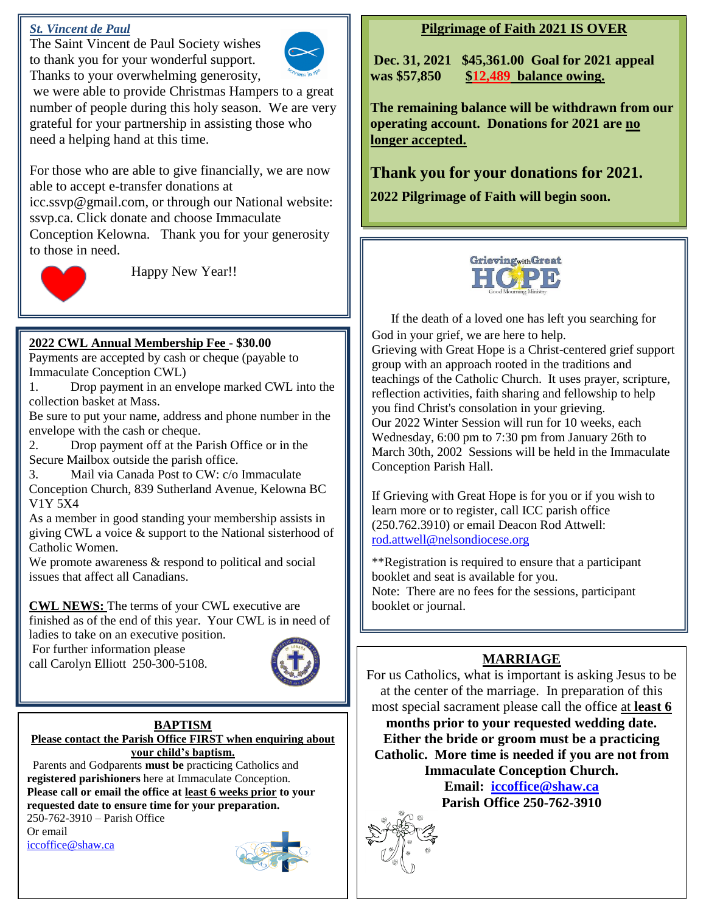## *St. Vincent de Paul*

The Saint Vincent de Paul Society wishes to thank you for your wonderful support. Thanks to your overwhelming generosity,



we were able to provide Christmas Hampers to a great number of people during this holy season. We are very grateful for your partnership in assisting those who need a helping hand at this time.

For those who are able to give financially, we are now able to accept e-transfer donations at

icc.ssvp@gmail.com, or through our National website: ssvp.ca. Click donate and choose Immaculate Conception Kelowna. Thank you for your generosity to those in need.



Happy New Year!!

## **2022 CWL Annual Membership Fee** - **\$30.00**

Payments are accepted by cash or cheque (payable to Immaculate Conception CWL)

1. Drop payment in an envelope marked CWL into the collection basket at Mass.

Be sure to put your name, address and phone number in the envelope with the cash or cheque.

2. Drop payment off at the Parish Office or in the Secure Mailbox outside the parish office.

3. Mail via Canada Post to CW: c/o Immaculate

Conception Church, 839 Sutherland Avenue, Kelowna BC V1Y 5X4

As a member in good standing your membership assists in giving CWL a voice & support to the National sisterhood of Catholic Women.

We promote awareness  $\&$  respond to political and social issues that affect all Canadians.

**CWL NEWS:** The terms of your CWL executive are finished as of the end of this year. Your CWL is in need of

ladies to take on an executive position.

For further information please call Carolyn Elliott 250-300-5108.



#### **BAPTISM Please contact the Parish Office FIRST when enquiring about your child's baptism.**

 Parents and Godparents **must be** practicing Catholics and **registered parishioners** here at Immaculate Conception. **Please call or email the office at least 6 weeks prior to your requested date to ensure time for your preparation.** 

250-762-3910 – Parish Office Or email [iccoffice@shaw.ca](mailto:iccoffice@shaw.ca) 



## **Pilgrimage of Faith 2021 IS OVER**

**Dec. 31, 2021 \$45,361.00 Goal for 2021 appeal was \$57,850 \$12,489 balance owing.** 

**The remaining balance will be withdrawn from our operating account. Donations for 2021 are no longer accepted.** 

**Thank you for your donations for 2021.**

**2022 Pilgrimage of Faith will begin soon.**



If the death of a loved one has left you searching for God in your grief, we are here to help. Grieving with Great Hope is a Christ-centered grief support group with an approach rooted in the traditions and teachings of the Catholic Church. It uses prayer, scripture, reflection activities, faith sharing and fellowship to help you find Christ's consolation in your grieving. Our 2022 Winter Session will run for 10 weeks, each Wednesday, 6:00 pm to 7:30 pm from January 26th to March 30th, 2002 Sessions will be held in the Immaculate Conception Parish Hall.

If Grieving with Great Hope is for you or if you wish to learn more or to register, call ICC parish office (250.762.3910) or email Deacon Rod Attwell: [rod.attwell@nelsondiocese.org](mailto:rod.attwell@nelsondiocese.org)

\*\*Registration is required to ensure that a participant booklet and seat is available for you. Note: There are no fees for the sessions, participant booklet or journal.

**IA ZOOM FOR** 

## **MARRIAGE**

For us Catholics, what is important is asking Jesus to b<br>at the center of the marriage. In preparation of this For us Catholics, what is important is asking Jesus to be

most special sacrament please call the office <u>at **least 6**</u><br>months prior to your requested worlding data **HOURS EXECUTE ACCURACING THE CONSTRUCTION** Catholic. More time is needed if you are not from<br>Immaculate Conception Church. **months prior to your requested wedding date. Immaculate Conception Church.**

**EXCEPT FOR SPRING Parish Office 250-762-3910Email: [iccoffice@shaw.ca](mailto:iccoffice@shaw.ca)**



<u>orientation to the second control</u>